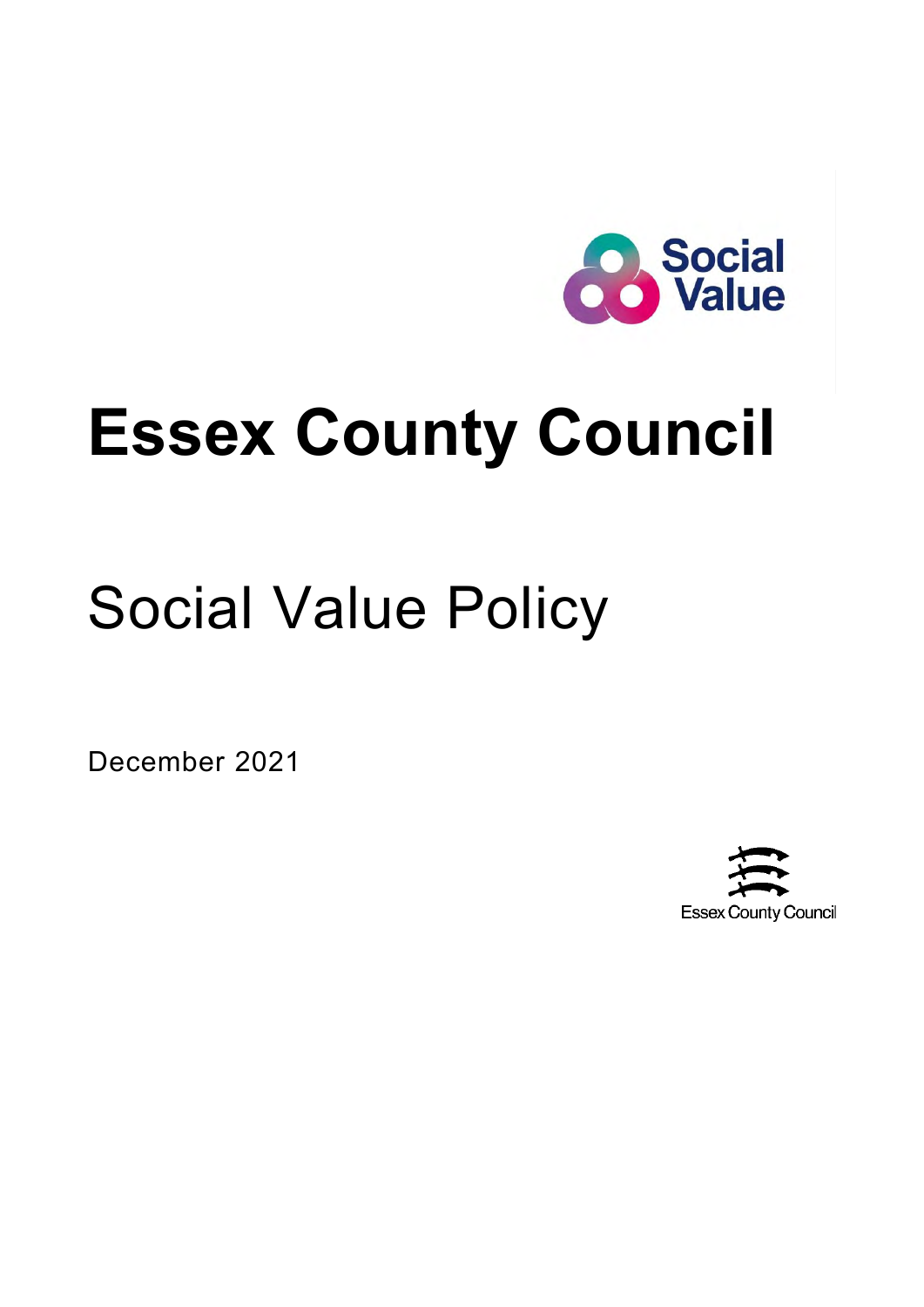

# **Essex County Council**

# Social Value Policy

December 2021

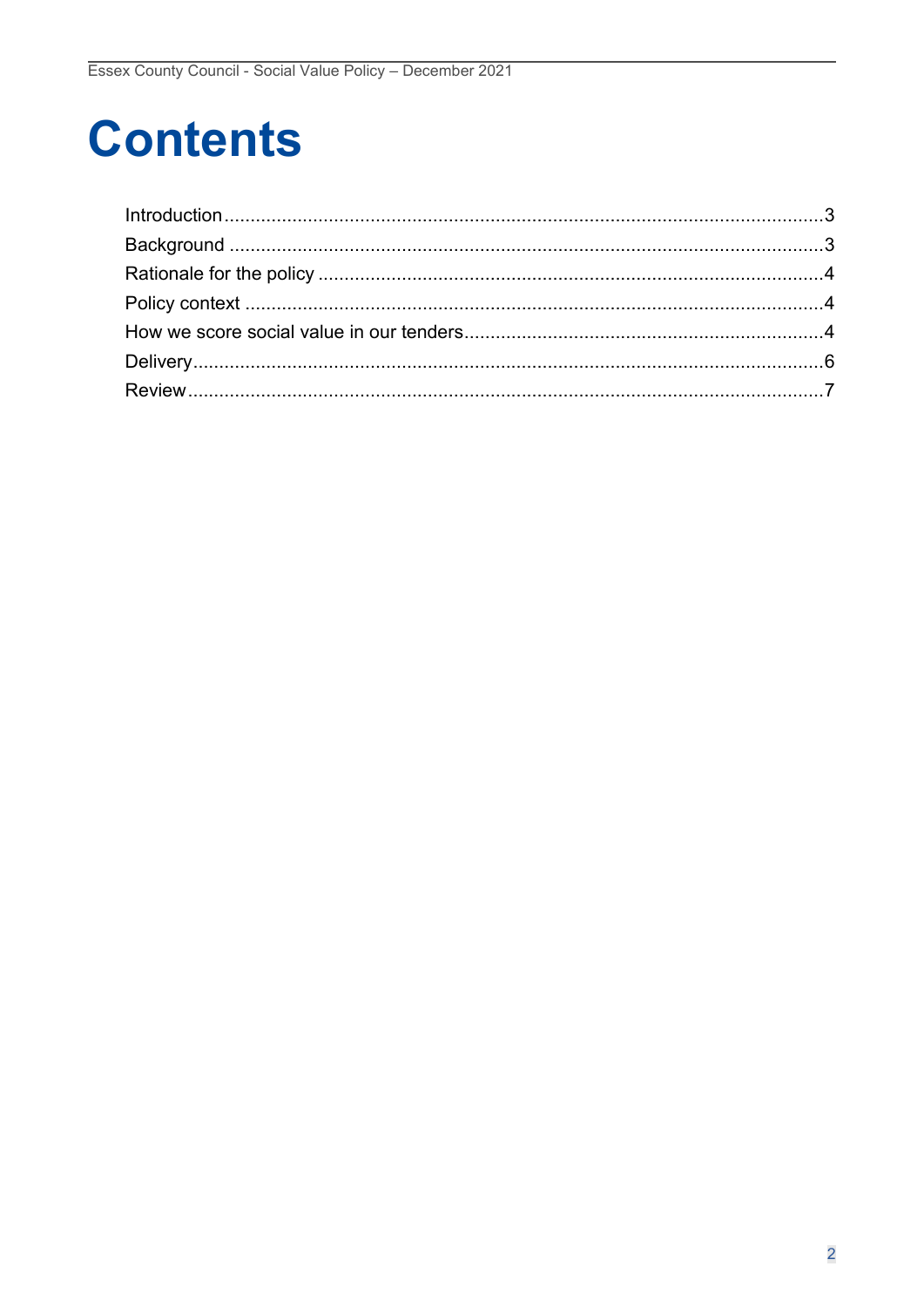# **Contents**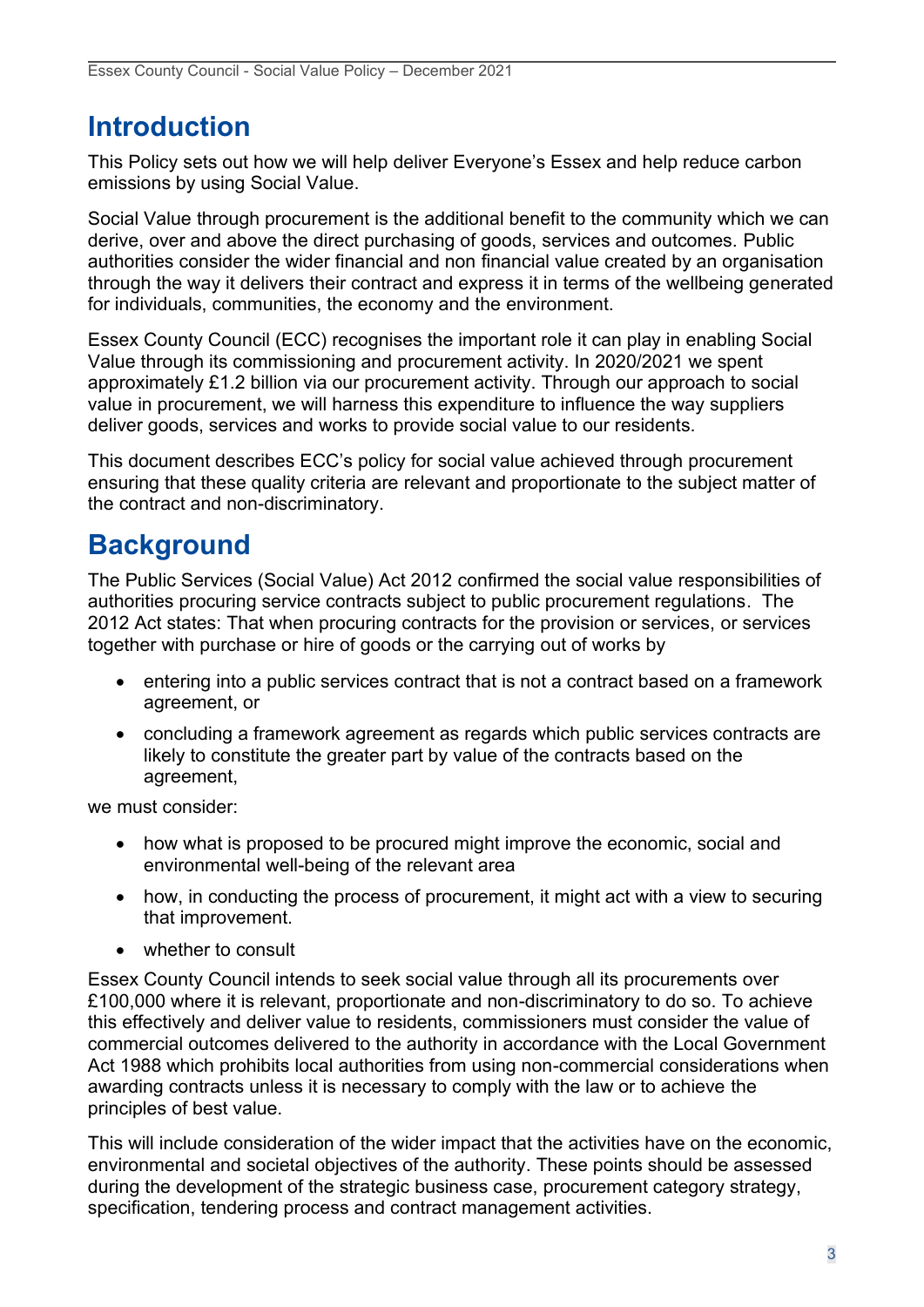## <span id="page-2-0"></span>**Introduction**

This Policy sets out how we will help deliver Everyone's Essex and help reduce carbon emissions by using Social Value.

Social Value through procurement is the additional benefit to the community which we can derive, over and above the direct purchasing of goods, services and outcomes. Public authorities consider the wider financial and non financial value created by an organisation through the way it delivers their contract and express it in terms of the wellbeing generated for individuals, communities, the economy and the environment.

Essex County Council (ECC) recognises the important role it can play in enabling Social Value through its commissioning and procurement activity. In 2020/2021 we spent approximately £1.2 billion via our procurement activity. Through our approach to social value in procurement, we will harness this expenditure to influence the way suppliers deliver goods, services and works to provide social value to our residents.

This document describes ECC's policy for social value achieved through procurement ensuring that these quality criteria are relevant and proportionate to the subject matter of the contract and non-discriminatory.

## <span id="page-2-1"></span>**Background**

The Public Services (Social Value) Act 2012 confirmed the social value responsibilities of authorities procuring service contracts subject to public procurement regulations. The 2012 Act states: That when procuring contracts for the provision or services, or services together with purchase or hire of goods or the carrying out of works by

- entering into a public services contract that is not a contract based on a framework agreement, or
- concluding a framework agreement as regards which public services contracts are likely to constitute the greater part by value of the contracts based on the agreement,

we must consider:

- how what is proposed to be procured might improve the economic, social and environmental well-being of the relevant area
- how, in conducting the process of procurement, it might act with a view to securing that improvement.
- whether to consult

Essex County Council intends to seek social value through all its procurements over £100,000 where it is relevant, proportionate and non-discriminatory to do so. To achieve this effectively and deliver value to residents, commissioners must consider the value of commercial outcomes delivered to the authority in accordance with the Local Government Act 1988 which prohibits local authorities from using non-commercial considerations when awarding contracts unless it is necessary to comply with the law or to achieve the principles of best value.

This will include consideration of the wider impact that the activities have on the economic, environmental and societal objectives of the authority. These points should be assessed during the development of the strategic business case, procurement category strategy, specification, tendering process and contract management activities.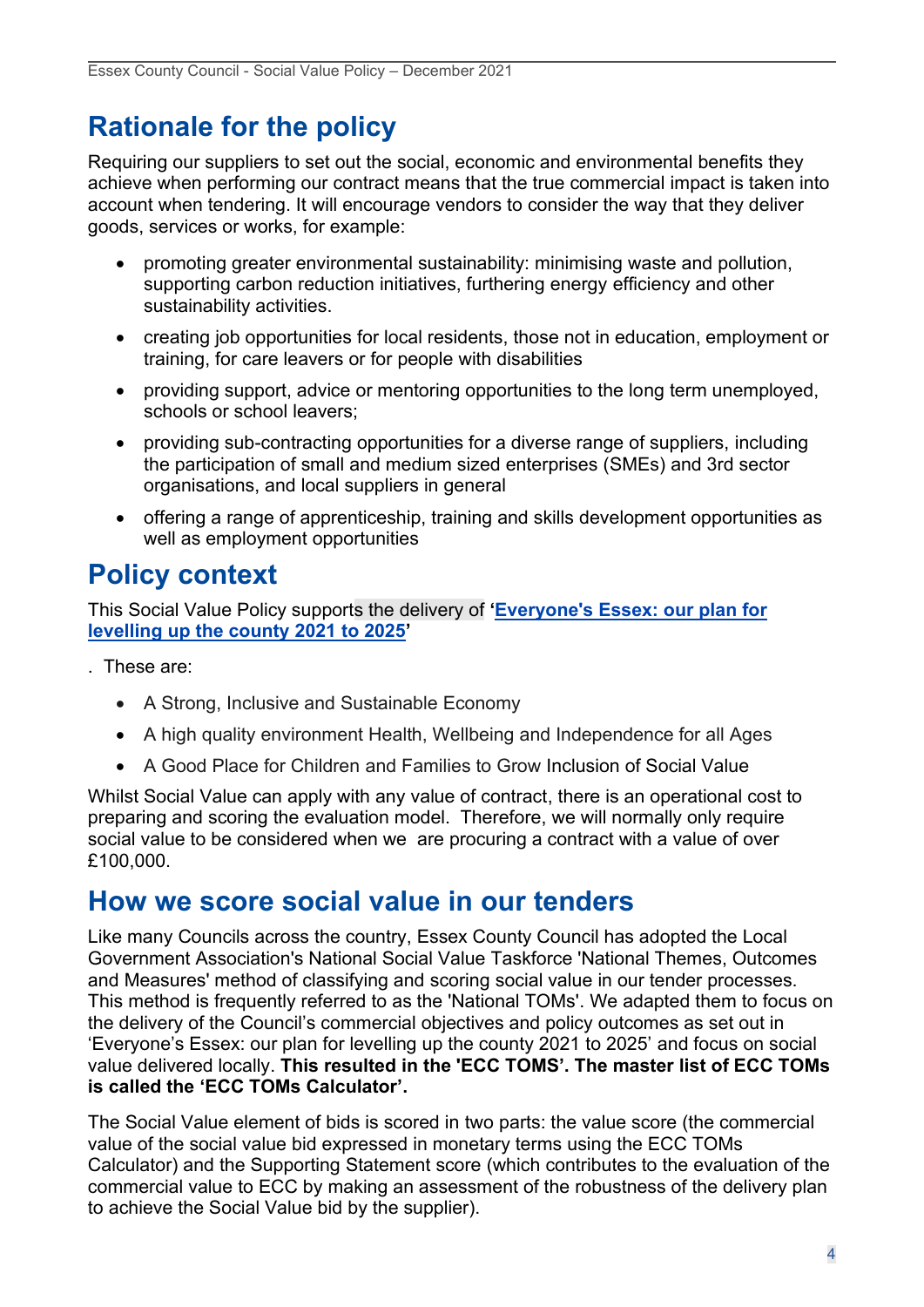## <span id="page-3-0"></span>**Rationale for the policy**

Requiring our suppliers to set out the social, economic and environmental benefits they achieve when performing our contract means that the true commercial impact is taken into account when tendering. It will encourage vendors to consider the way that they deliver goods, services or works, for example:

- promoting greater environmental sustainability: minimising waste and pollution, supporting carbon reduction initiatives, furthering energy efficiency and other sustainability activities.
- creating job opportunities for local residents, those not in education, employment or training, for care leavers or for people with disabilities
- providing support, advice or mentoring opportunities to the long term unemployed, schools or school leavers;
- providing sub-contracting opportunities for a diverse range of suppliers, including the participation of small and medium sized enterprises (SMEs) and 3rd sector organisations, and local suppliers in general
- offering a range of apprenticeship, training and skills development opportunities as well as employment opportunities

## <span id="page-3-1"></span>**Policy context**

This Social Value Policy supports the delivery of **'[Everyone's Essex: our plan for](https://www.essex.gov.uk/everyones-essex-our-plan-for-essex-2021-2025/our-20-commitments)  [levelling up the county 2021 to 2025](https://www.essex.gov.uk/everyones-essex-our-plan-for-essex-2021-2025/our-20-commitments)'**

. These are:

- A Strong, Inclusive and Sustainable Economy
- A high quality environment Health, Wellbeing and Independence for all Ages
- <span id="page-3-2"></span>• A Good Place for Children and Families to Grow Inclusion of Social Value

Whilst Social Value can apply with any value of contract, there is an operational cost to preparing and scoring the evaluation model. Therefore, we will normally only require social value to be considered when we are procuring a contract with a value of over £100,000.

#### **How we score social value in our tenders**

Like many Councils across the country, Essex County Council has adopted the Local Government Association's National Social Value Taskforce 'National Themes, Outcomes and Measures' method of classifying and scoring social value in our tender processes. This method is frequently referred to as the 'National TOMs'. We adapted them to focus on the delivery of the Council's commercial objectives and policy outcomes as set out in 'Everyone's Essex: our plan for levelling up the county 2021 to 2025' and focus on social value delivered locally. **This resulted in the 'ECC TOMS'. The master list of ECC TOMs is called the 'ECC TOMs Calculator'.** 

The Social Value element of bids is scored in two parts: the value score (the commercial value of the social value bid expressed in monetary terms using the ECC TOMs Calculator) and the Supporting Statement score (which contributes to the evaluation of the commercial value to ECC by making an assessment of the robustness of the delivery plan to achieve the Social Value bid by the supplier).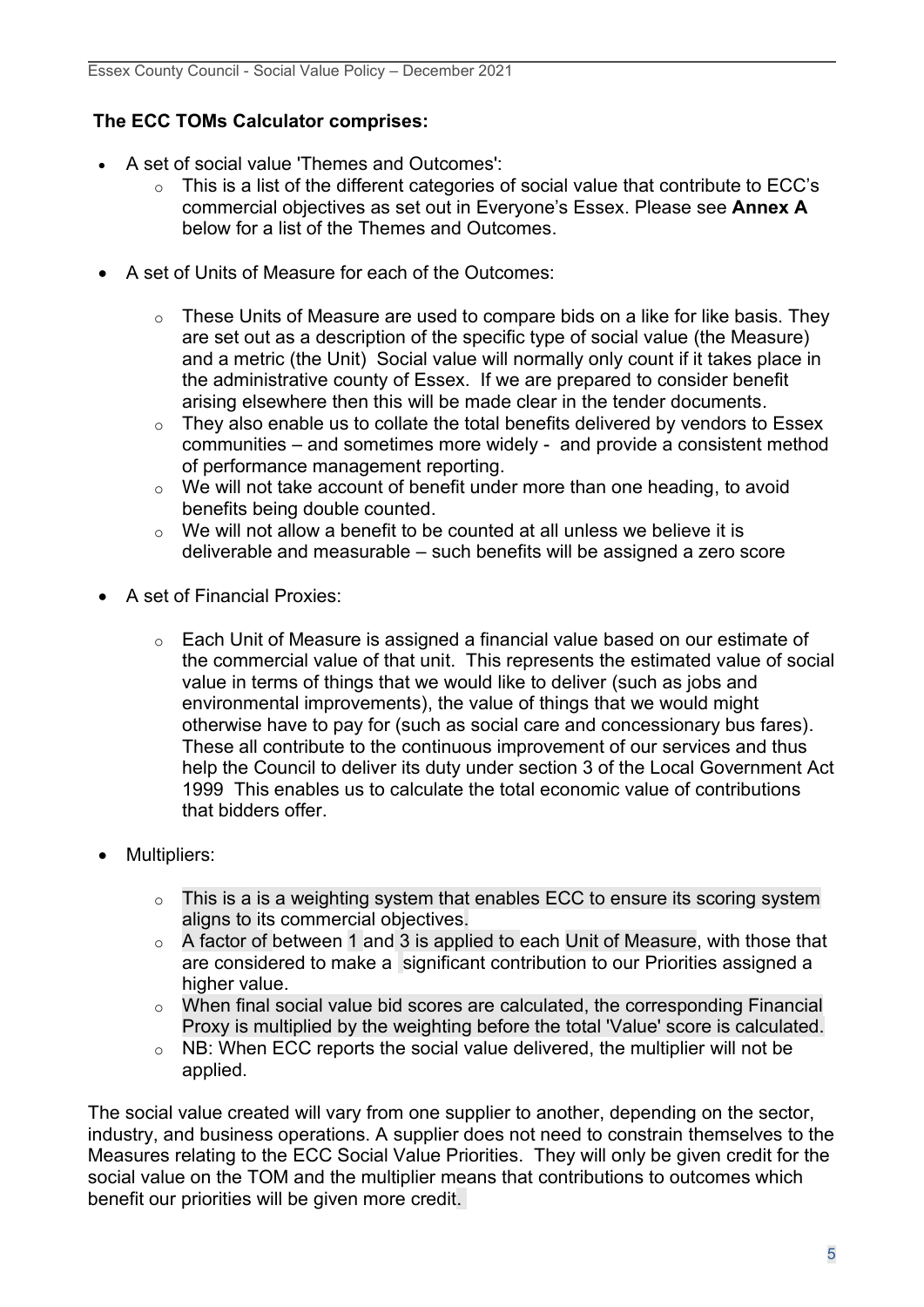#### **The ECC TOMs Calculator comprises:**

- A set of social value 'Themes and Outcomes':
	- o This is a list of the different categories of social value that contribute to ECC's commercial objectives as set out in Everyone's Essex. Please see **Annex A** below for a list of the Themes and Outcomes.
- A set of Units of Measure for each of the Outcomes:
	- $\circ$  These Units of Measure are used to compare bids on a like for like basis. They are set out as a description of the specific type of social value (the Measure) and a metric (the Unit) Social value will normally only count if it takes place in the administrative county of Essex. If we are prepared to consider benefit arising elsewhere then this will be made clear in the tender documents.
	- o They also enable us to collate the total benefits delivered by vendors to Essex communities – and sometimes more widely - and provide a consistent method of performance management reporting.
	- o We will not take account of benefit under more than one heading, to avoid benefits being double counted.
	- $\circ$  We will not allow a benefit to be counted at all unless we believe it is deliverable and measurable – such benefits will be assigned a zero score
- A set of Financial Proxies:
	- o Each Unit of Measure is assigned a financial value based on our estimate of the commercial value of that unit. This represents the estimated value of social value in terms of things that we would like to deliver (such as jobs and environmental improvements), the value of things that we would might otherwise have to pay for (such as social care and concessionary bus fares). These all contribute to the continuous improvement of our services and thus help the Council to deliver its duty under section 3 of the Local Government Act 1999 This enables us to calculate the total economic value of contributions that bidders offer.
- Multipliers:
	- $\circ$  This is a is a weighting system that enables ECC to ensure its scoring system aligns to its commercial objectives.
	- $\circ$  A factor of between 1 and 3 is applied to each Unit of Measure, with those that are considered to make a significant contribution to our Priorities assigned a higher value.
	- o When final social value bid scores are calculated, the corresponding Financial Proxy is multiplied by the weighting before the total 'Value' score is calculated.
	- $\circ$  NB: When ECC reports the social value delivered, the multiplier will not be applied.

The social value created will vary from one supplier to another, depending on the sector, industry, and business operations. A supplier does not need to constrain themselves to the Measures relating to the ECC Social Value Priorities. They will only be given credit for the social value on the TOM and the multiplier means that contributions to outcomes which benefit our priorities will be given more credit.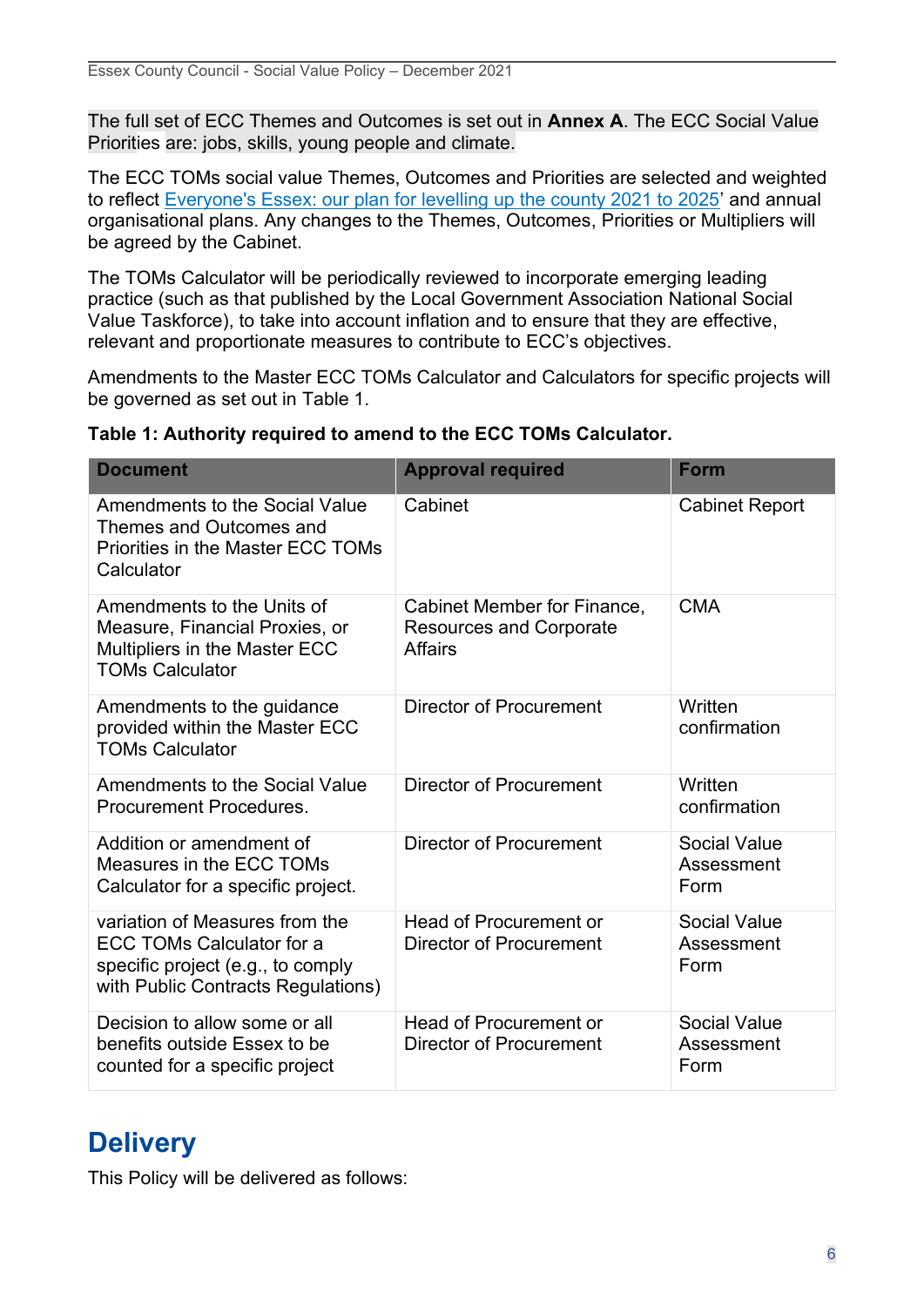The full set of ECC Themes and Outcomes is set out in **Annex A**. The ECC Social Value Priorities are: jobs, skills, young people and climate.

The ECC TOMs social value Themes, Outcomes and Priorities are selected and weighted to reflect [Everyone's Essex: our plan for levelling up the county 2021 to 2025](https://www.essex.gov.uk/everyones-essex-our-plan-for-essex-2021-2025/our-20-commitments)' and annual organisational plans. Any changes to the Themes, Outcomes, Priorities or Multipliers will be agreed by the Cabinet.

The TOMs Calculator will be periodically reviewed to incorporate emerging leading practice (such as that published by the Local Government Association National Social Value Taskforce), to take into account inflation and to ensure that they are effective, relevant and proportionate measures to contribute to ECC's objectives.

Amendments to the Master ECC TOMs Calculator and Calculators for specific projects will be governed as set out in Table 1.

| <b>Document</b>                                                                                                                        | <b>Approval required</b>                                                        | <b>Form</b>                               |
|----------------------------------------------------------------------------------------------------------------------------------------|---------------------------------------------------------------------------------|-------------------------------------------|
| Amendments to the Social Value<br>Themes and Outcomes and<br><b>Priorities in the Master ECC TOMs</b><br>Calculator                    | Cabinet                                                                         | <b>Cabinet Report</b>                     |
| Amendments to the Units of<br>Measure, Financial Proxies, or<br>Multipliers in the Master ECC<br><b>TOMs Calculator</b>                | Cabinet Member for Finance,<br><b>Resources and Corporate</b><br><b>Affairs</b> | <b>CMA</b>                                |
| Amendments to the guidance<br>provided within the Master ECC<br><b>TOMs Calculator</b>                                                 | <b>Director of Procurement</b>                                                  | Written<br>confirmation                   |
| <b>Amendments to the Social Value</b><br>Procurement Procedures.                                                                       | <b>Director of Procurement</b>                                                  | Written<br>confirmation                   |
| Addition or amendment of<br>Measures in the ECC TOMs<br>Calculator for a specific project.                                             | Director of Procurement                                                         | <b>Social Value</b><br>Assessment<br>Form |
| variation of Measures from the<br>ECC TOMs Calculator for a<br>specific project (e.g., to comply<br>with Public Contracts Regulations) | <b>Head of Procurement or</b><br><b>Director of Procurement</b>                 | <b>Social Value</b><br>Assessment<br>Form |
| Decision to allow some or all<br>benefits outside Essex to be<br>counted for a specific project                                        | <b>Head of Procurement or</b><br><b>Director of Procurement</b>                 | <b>Social Value</b><br>Assessment<br>Form |

#### **Table 1: Authority required to amend to the ECC TOMs Calculator.**

### <span id="page-5-0"></span>**Delivery**

This Policy will be delivered as follows: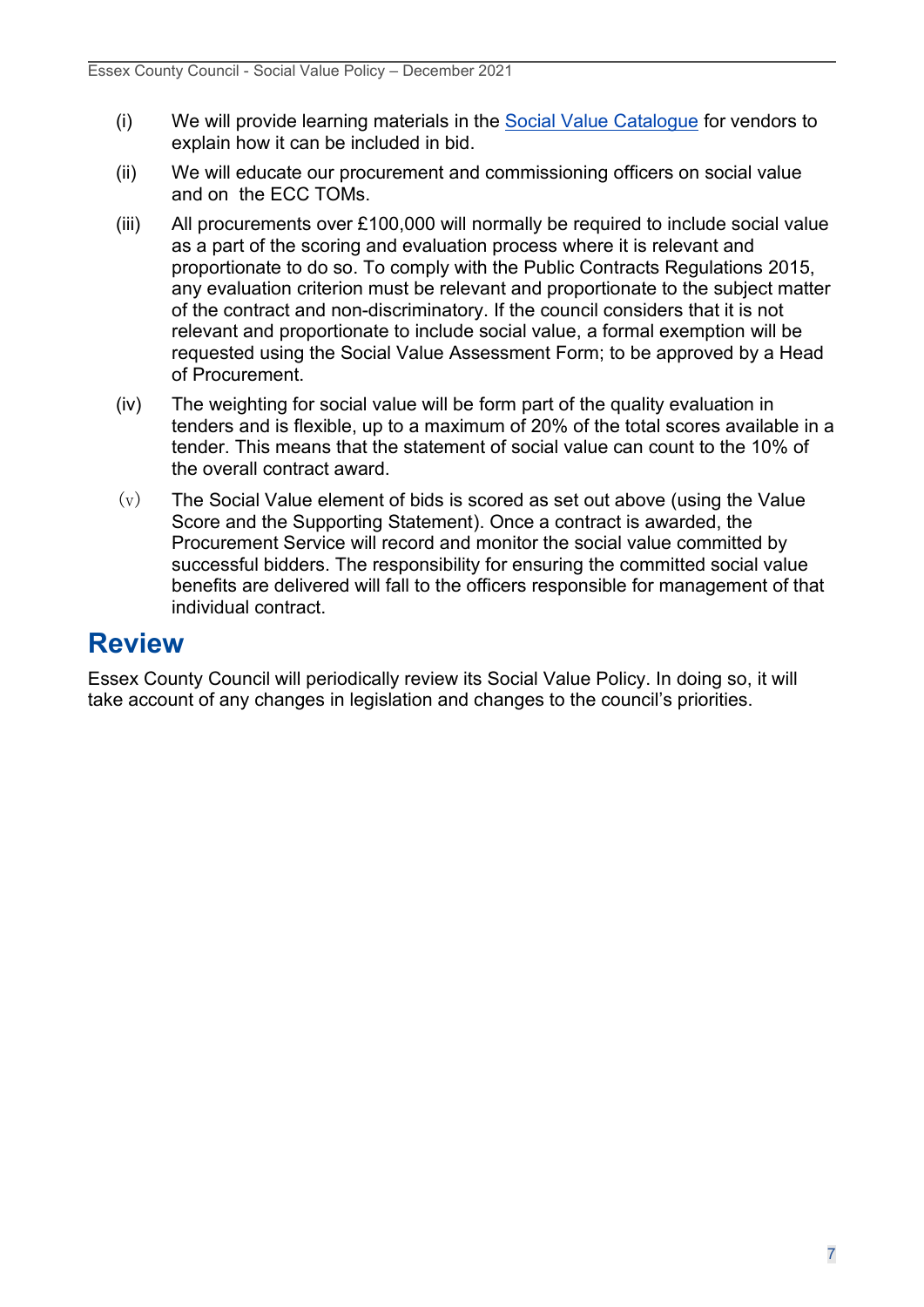- (i) We will provide learning materials in the [Social Value Catalogue](https://www.livingwellessex.org/social-value/social-value-at-essex-county-council/) for vendors to explain how it can be included in bid.
- (ii) We will educate our procurement and commissioning officers on social value and on the ECC TOMs.
- (iii) All procurements over £100,000 will normally be required to include social value as a part of the scoring and evaluation process where it is relevant and proportionate to do so. To comply with the Public Contracts Regulations 2015, any evaluation criterion must be relevant and proportionate to the subject matter of the contract and non-discriminatory. If the council considers that it is not relevant and proportionate to include social value, a formal exemption will be requested using the Social Value Assessment Form; to be approved by a Head of Procurement.
- (iv) The weighting for social value will be form part of the quality evaluation in tenders and is flexible, up to a maximum of 20% of the total scores available in a tender. This means that the statement of social value can count to the 10% of the overall contract award.
- $(v)$  The Social Value element of bids is scored as set out above (using the Value Score and the Supporting Statement). Once a contract is awarded, the Procurement Service will record and monitor the social value committed by successful bidders. The responsibility for ensuring the committed social value benefits are delivered will fall to the officers responsible for management of that individual contract.

### <span id="page-6-0"></span>**Review**

Essex County Council will periodically review its Social Value Policy. In doing so, it will take account of any changes in legislation and changes to the council's priorities.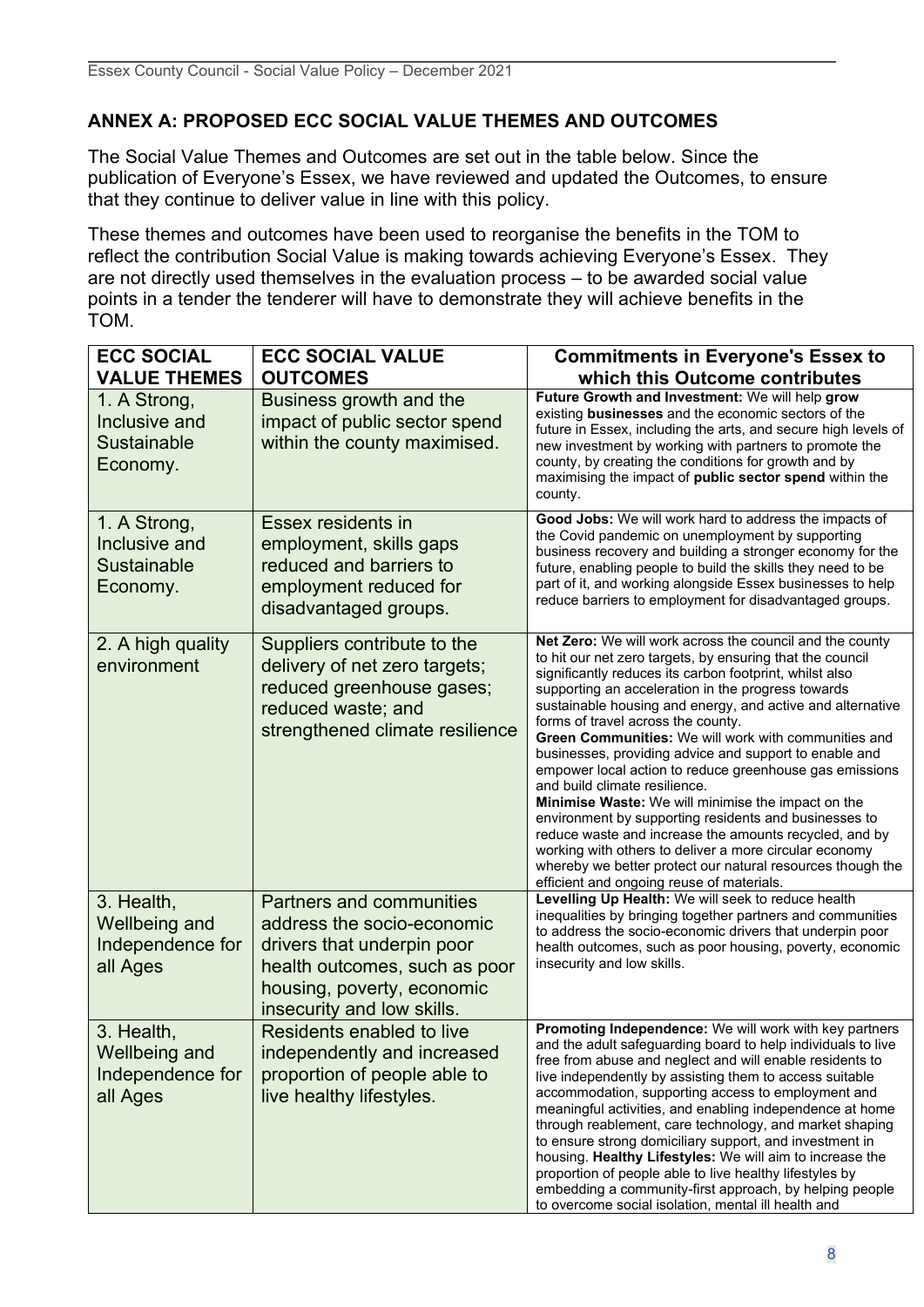#### **ANNEX A: PROPOSED ECC SOCIAL VALUE THEMES AND OUTCOMES**

The Social Value Themes and Outcomes are set out in the table below. Since the publication of Everyone's Essex, we have reviewed and updated the Outcomes, to ensure that they continue to deliver value in line with this policy.

These themes and outcomes have been used to reorganise the benefits in the TOM to reflect the contribution Social Value is making towards achieving Everyone's Essex. They are not directly used themselves in the evaluation process – to be awarded social value points in a tender the tenderer will have to demonstrate they will achieve benefits in the TOM.

| <b>ECC SOCIAL</b><br><b>VALUE THEMES</b>                           | <b>ECC SOCIAL VALUE</b><br><b>OUTCOMES</b>                                                                                                                                               | <b>Commitments in Everyone's Essex to</b><br>which this Outcome contributes                                                                                                                                                                                                                                                                                                                                                                                                                                                                                                                                                                                                                                                                                                                                                                                                                                   |
|--------------------------------------------------------------------|------------------------------------------------------------------------------------------------------------------------------------------------------------------------------------------|---------------------------------------------------------------------------------------------------------------------------------------------------------------------------------------------------------------------------------------------------------------------------------------------------------------------------------------------------------------------------------------------------------------------------------------------------------------------------------------------------------------------------------------------------------------------------------------------------------------------------------------------------------------------------------------------------------------------------------------------------------------------------------------------------------------------------------------------------------------------------------------------------------------|
| 1. A Strong,<br>Inclusive and<br><b>Sustainable</b><br>Economy.    | Business growth and the<br>impact of public sector spend<br>within the county maximised.                                                                                                 | Future Growth and Investment: We will help grow<br>existing businesses and the economic sectors of the<br>future in Essex, including the arts, and secure high levels of<br>new investment by working with partners to promote the<br>county, by creating the conditions for growth and by<br>maximising the impact of public sector spend within the<br>county.                                                                                                                                                                                                                                                                                                                                                                                                                                                                                                                                              |
| 1. A Strong,<br>Inclusive and<br><b>Sustainable</b><br>Economy.    | Essex residents in<br>employment, skills gaps<br>reduced and barriers to<br>employment reduced for<br>disadvantaged groups.                                                              | Good Jobs: We will work hard to address the impacts of<br>the Covid pandemic on unemployment by supporting<br>business recovery and building a stronger economy for the<br>future, enabling people to build the skills they need to be<br>part of it, and working alongside Essex businesses to help<br>reduce barriers to employment for disadvantaged groups.                                                                                                                                                                                                                                                                                                                                                                                                                                                                                                                                               |
| 2. A high quality<br>environment                                   | Suppliers contribute to the<br>delivery of net zero targets;<br>reduced greenhouse gases;<br>reduced waste; and<br>strengthened climate resilience                                       | Net Zero: We will work across the council and the county<br>to hit our net zero targets, by ensuring that the council<br>significantly reduces its carbon footprint, whilst also<br>supporting an acceleration in the progress towards<br>sustainable housing and energy, and active and alternative<br>forms of travel across the county.<br>Green Communities: We will work with communities and<br>businesses, providing advice and support to enable and<br>empower local action to reduce greenhouse gas emissions<br>and build climate resilience.<br><b>Minimise Waste:</b> We will minimise the impact on the<br>environment by supporting residents and businesses to<br>reduce waste and increase the amounts recycled, and by<br>working with others to deliver a more circular economy<br>whereby we better protect our natural resources though the<br>efficient and ongoing reuse of materials. |
| 3. Health,<br><b>Wellbeing and</b><br>Independence for<br>all Ages | <b>Partners and communities</b><br>address the socio-economic<br>drivers that underpin poor<br>health outcomes, such as poor<br>housing, poverty, economic<br>insecurity and low skills. | Levelling Up Health: We will seek to reduce health<br>inequalities by bringing together partners and communities<br>to address the socio-economic drivers that underpin poor<br>health outcomes, such as poor housing, poverty, economic<br>insecurity and low skills.                                                                                                                                                                                                                                                                                                                                                                                                                                                                                                                                                                                                                                        |
| 3. Health,<br>Wellbeing and<br>Independence for<br>all Ages        | Residents enabled to live<br>independently and increased<br>proportion of people able to<br>live healthy lifestyles.                                                                     | Promoting Independence: We will work with key partners<br>and the adult safeguarding board to help individuals to live<br>free from abuse and neglect and will enable residents to<br>live independently by assisting them to access suitable<br>accommodation, supporting access to employment and<br>meaningful activities, and enabling independence at home<br>through reablement, care technology, and market shaping<br>to ensure strong domiciliary support, and investment in<br>housing. Healthy Lifestyles: We will aim to increase the<br>proportion of people able to live healthy lifestyles by<br>embedding a community-first approach, by helping people<br>to overcome social isolation, mental ill health and                                                                                                                                                                                |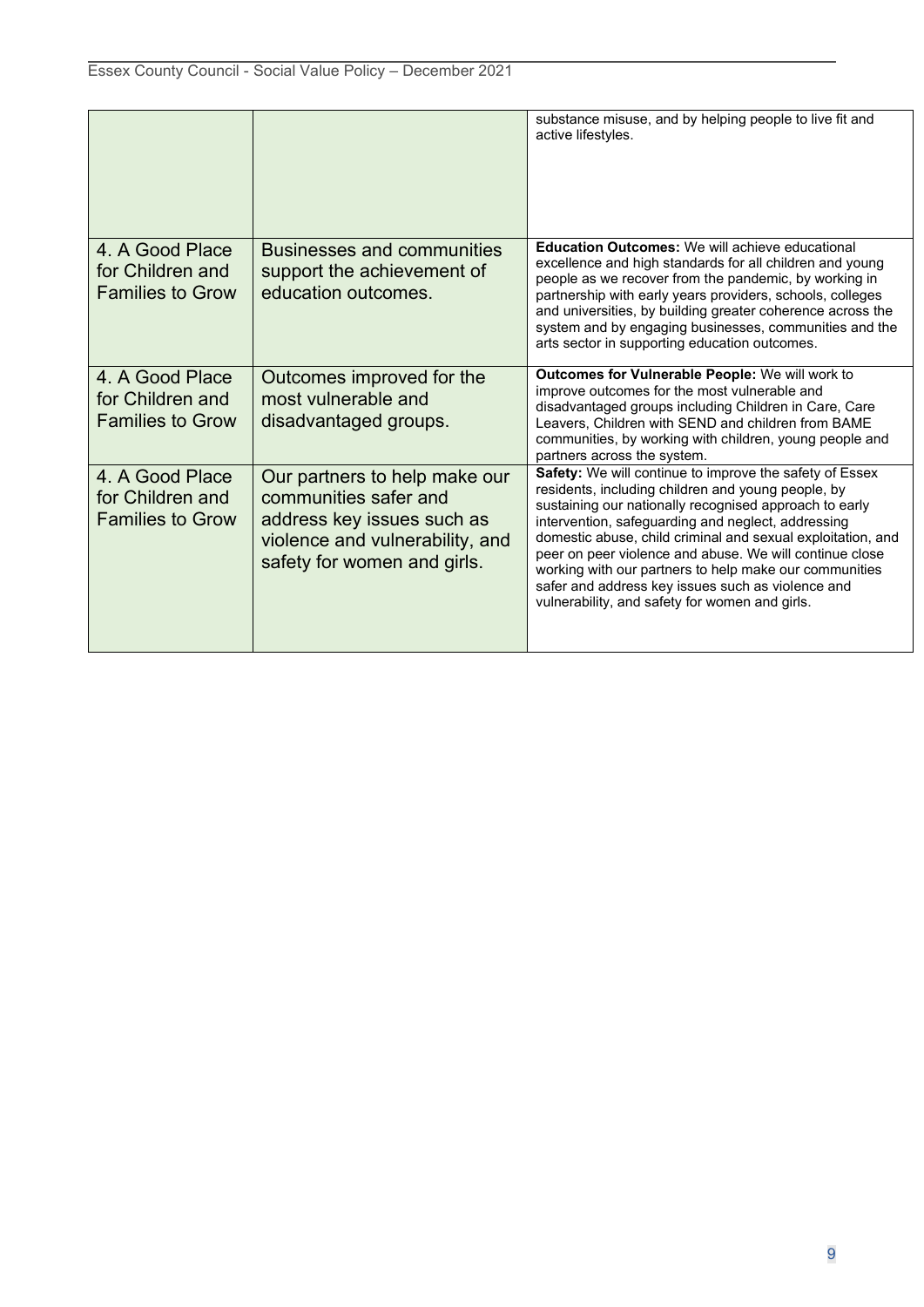|                                                                |                                                                                                                                                        | substance misuse, and by helping people to live fit and<br>active lifestyles.                                                                                                                                                                                                                                                                                                                                                                                                                                            |
|----------------------------------------------------------------|--------------------------------------------------------------------------------------------------------------------------------------------------------|--------------------------------------------------------------------------------------------------------------------------------------------------------------------------------------------------------------------------------------------------------------------------------------------------------------------------------------------------------------------------------------------------------------------------------------------------------------------------------------------------------------------------|
| 4. A Good Place<br>for Children and<br><b>Families to Grow</b> | <b>Businesses and communities</b><br>support the achievement of<br>education outcomes.                                                                 | <b>Education Outcomes: We will achieve educational</b><br>excellence and high standards for all children and young<br>people as we recover from the pandemic, by working in<br>partnership with early years providers, schools, colleges<br>and universities, by building greater coherence across the<br>system and by engaging businesses, communities and the<br>arts sector in supporting education outcomes.                                                                                                        |
| 4. A Good Place<br>for Children and<br><b>Families to Grow</b> | Outcomes improved for the<br>most vulnerable and<br>disadvantaged groups.                                                                              | Outcomes for Vulnerable People: We will work to<br>improve outcomes for the most vulnerable and<br>disadvantaged groups including Children in Care, Care<br>Leavers, Children with SEND and children from BAME<br>communities, by working with children, young people and<br>partners across the system.                                                                                                                                                                                                                 |
| 4. A Good Place<br>for Children and<br><b>Families to Grow</b> | Our partners to help make our<br>communities safer and<br>address key issues such as<br>violence and vulnerability, and<br>safety for women and girls. | Safety: We will continue to improve the safety of Essex<br>residents, including children and young people, by<br>sustaining our nationally recognised approach to early<br>intervention, safeguarding and neglect, addressing<br>domestic abuse, child criminal and sexual exploitation, and<br>peer on peer violence and abuse. We will continue close<br>working with our partners to help make our communities<br>safer and address key issues such as violence and<br>vulnerability, and safety for women and girls. |